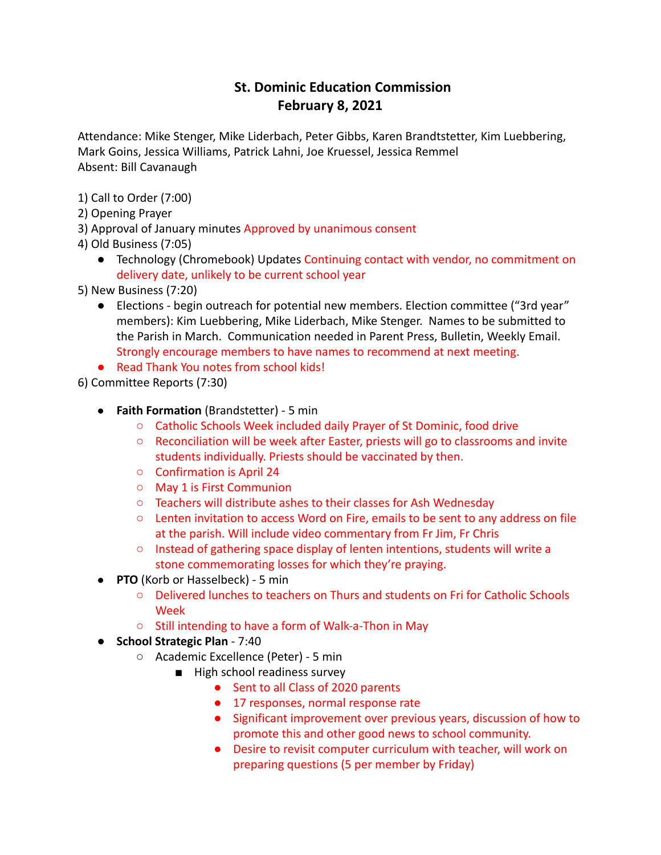## **St. Dominic Education Commission February 8, 2021**

Attendance: Mike Stenger, Mike Liderbach, Peter Gibbs, Karen Brandtstetter, Kim Luebbering, Mark Goins, Jessica Williams, Patrick Lahni, Joe Kruessel, Jessica Remmel Absent: Bill Cavanaugh

- 1) Call to Order (7:00)
- 2) Opening Prayer
- 3) Approval of January minutes Approved by unanimous consent
- 4) Old Business (7:05)
	- Technology (Chromebook) Updates Continuing contact with vendor, no commitment on delivery date, unlikely to be current school year
- 5) New Business (7:20)
	- Elections begin outreach for potential new members. Election committee ("3rd year" members): Kim Luebbering, Mike Liderbach, Mike Stenger. Names to be submitted to the Parish in March. Communication needed in Parent Press, Bulletin, Weekly Email. Strongly encourage members to have names to recommend at next meeting.
	- Read Thank You notes from school kids!

6) Committee Reports (7:30)

- **Faith Formation** (Brandstetter) 5 min
	- Catholic Schools Week included daily Prayer of St Dominic, food drive
	- Reconciliation will be week after Easter, priests will go to classrooms and invite students individually. Priests should be vaccinated by then.
	- Confirmation is April 24
	- May 1 is First Communion
	- Teachers will distribute ashes to their classes for Ash Wednesday
	- Lenten invitation to access Word on Fire, emails to be sent to any address on file at the parish. Will include video commentary from Fr Jim, Fr Chris
	- Instead of gathering space display of lenten intentions, students will write a stone commemorating losses for which they're praying.
- **PTO** (Korb or Hasselbeck) 5 min
	- Delivered lunches to teachers on Thurs and students on Fri for Catholic Schools Week
	- Still intending to have a form of Walk-a-Thon in May
- **School Strategic Plan** 7:40
	- Academic Excellence (Peter) 5 min
		- High school readiness survey
			- Sent to all Class of 2020 parents
			- 17 responses, normal response rate
			- Significant improvement over previous years, discussion of how to promote this and other good news to school community.
			- Desire to revisit computer curriculum with teacher, will work on preparing questions (5 per member by Friday)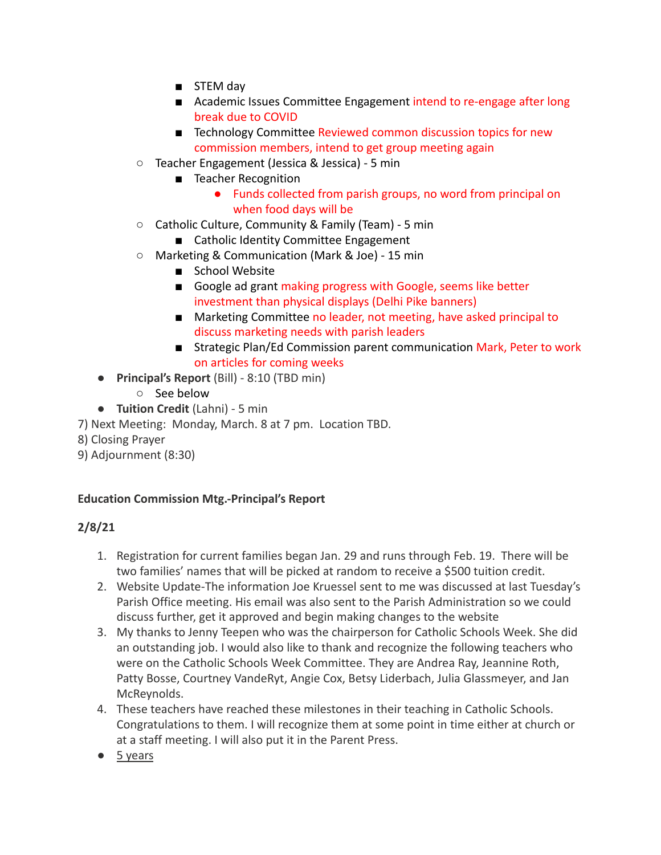- STEM day
- Academic Issues Committee Engagement intend to re-engage after long break due to COVID
- Technology Committee Reviewed common discussion topics for new commission members, intend to get group meeting again
- Teacher Engagement (Jessica & Jessica) 5 min
	- Teacher Recognition
		- Funds collected from parish groups, no word from principal on when food days will be
- Catholic Culture, Community & Family (Team) 5 min
	- Catholic Identity Committee Engagement
- Marketing & Communication (Mark & Joe) 15 min
	- School Website
	- Google ad grant making progress with Google, seems like better investment than physical displays (Delhi Pike banners)
	- Marketing Committee no leader, not meeting, have asked principal to discuss marketing needs with parish leaders
	- Strategic Plan/Ed Commission parent communication Mark, Peter to work on articles for coming weeks
- **Principal's Report** (Bill) 8:10 (TBD min)
	- See below
- **Tuition Credit** (Lahni) 5 min
- 7) Next Meeting: Monday, March. 8 at 7 pm. Location TBD.
- 8) Closing Prayer
- 9) Adjournment (8:30)

## **Education Commission Mtg.-Principal's Report**

## **2/8/21**

- 1. Registration for current families began Jan. 29 and runs through Feb. 19. There will be two families' names that will be picked at random to receive a \$500 tuition credit.
- 2. Website Update-The information Joe Kruessel sent to me was discussed at last Tuesday's Parish Office meeting. His email was also sent to the Parish Administration so we could discuss further, get it approved and begin making changes to the website
- 3. My thanks to Jenny Teepen who was the chairperson for Catholic Schools Week. She did an outstanding job. I would also like to thank and recognize the following teachers who were on the Catholic Schools Week Committee. They are Andrea Ray, Jeannine Roth, Patty Bosse, Courtney VandeRyt, Angie Cox, Betsy Liderbach, Julia Glassmeyer, and Jan McReynolds.
- 4. These teachers have reached these milestones in their teaching in Catholic Schools. Congratulations to them. I will recognize them at some point in time either at church or at a staff meeting. I will also put it in the Parent Press.
- 5 years